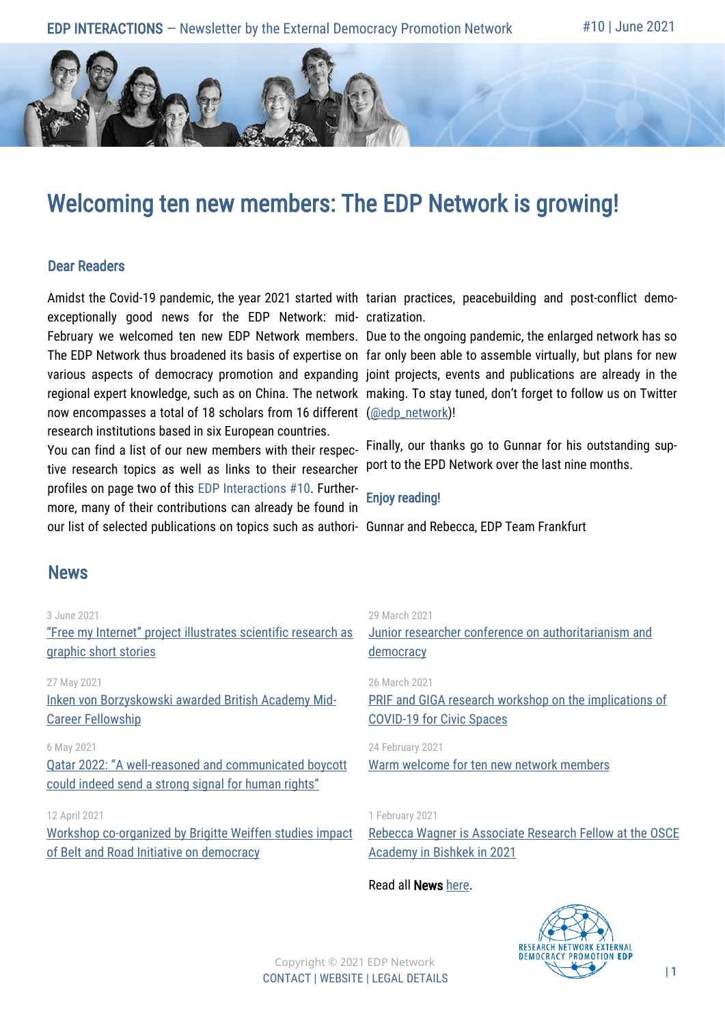# Welcoming ten new members: The EDP Network is growing!

### Dear Readers

exceptionally good news for the EDP Network: mid-cratization. February we welcomed ten new EDP Network members. Due to the ongoing pandemic, the enlarged network has so now encompasses a total of 18 scholars from 16 different [\(@edp\\_network\)](https://twitter.com/edp_network)! research institutions based in six European countries.

You can find a list of our new members with their respective research topics as well as links to their researcher profiles on page two of this EDP Interactions #10. Furthermore, many of their contributions can already be found in our list of selected publications on topics such as authori-Gunnar and Rebecca, EDP Team Frankfurt

Amidst the Covid-19 pandemic, the year 2021 started with tarian practices, peacebuilding and post-conflict demo-

The EDP Network thus broadened its basis of expertise on far only been able to assemble virtually, but plans for new various aspects of democracy promotion and expanding joint projects, events and publications are already in the regional expert knowledge, such as on China. The network making. To stay tuned, don't forget to follow us on Twitter

> Finally, our thanks go to Gunnar for his outstanding support to the EPD Network over the last nine months.

#### Enjoy reading!

### News

#### 3 June 2021

["Free my Internet" project illustrates scientific research as](https://www.external-democracy-promotion.eu/free-my-internet-project-illustrates-scientific-research-as-graphic-short-stories/)  [graphic short stories](https://www.external-democracy-promotion.eu/free-my-internet-project-illustrates-scientific-research-as-graphic-short-stories/)

#### 27 May 2021

Inken von Borzyskowski [awarded British Academy](https://www.external-democracy-promotion.eu/inken-von-borzyskowski-awarded-british-academy-mid-career-fellowship/) Mid-[Career Fellowship](https://www.external-democracy-promotion.eu/inken-von-borzyskowski-awarded-british-academy-mid-career-fellowship/)

#### 6 May 2021

Qatar 2022: "A well[-reasoned and communicated boycott](https://www.external-democracy-promotion.eu/a-well-reasoned-and-communicated-boycott-could-indeed-send-a-strong-signal-for-human-rights/)  [could indeed send a strong signal for human rights"](https://www.external-democracy-promotion.eu/a-well-reasoned-and-communicated-boycott-could-indeed-send-a-strong-signal-for-human-rights/)

12 April 2021 [Workshop co-organized by Brigitte Weiffen studies impact](https://www.external-democracy-promotion.eu/workshop-co-organized-by-network-member-brigitte-weiffen-studies-impact-of-belt-and-road-initiative-on-democracy-in-eurasia/)  [of Belt and Road Initiative on democracy](https://www.external-democracy-promotion.eu/workshop-co-organized-by-network-member-brigitte-weiffen-studies-impact-of-belt-and-road-initiative-on-democracy-in-eurasia/)

#### 29 March 2021

[Junior researcher conference on authoritarianism and](https://www.external-democracy-promotion.eu/junior-researcher-conference-on-authoritarianism-and-democracy/)  [democracy](https://www.external-democracy-promotion.eu/junior-researcher-conference-on-authoritarianism-and-democracy/)

#### 26 March 2021

[PRIF and GIGA research workshop on the implications of](https://www.external-democracy-promotion.eu/prif-and-giga-research-workshop-on-the-implications-of-covid-19-for-civic-spaces/)  [COVID-19 for Civic Spaces](https://www.external-democracy-promotion.eu/prif-and-giga-research-workshop-on-the-implications-of-covid-19-for-civic-spaces/)

#### 24 February 2021

[Warm welcome for ten new network members](https://www.external-democracy-promotion.eu/warm-welcome-for-ten-new-network-members/)

#### 1 February 2021

[Rebecca Wagner is Associate Research Fellow at the OSCE](https://www.external-democracy-promotion.eu/rebecca-wagner-is-associate-research-fellow-at-the-osce-academy-in-bishkek-in-2021/)  [Academy in Bishkek in 2021](https://www.external-democracy-promotion.eu/rebecca-wagner-is-associate-research-fellow-at-the-osce-academy-in-bishkek-in-2021/)

#### Read all News [here.](http://www.external-democracy-promotion.eu/news/)